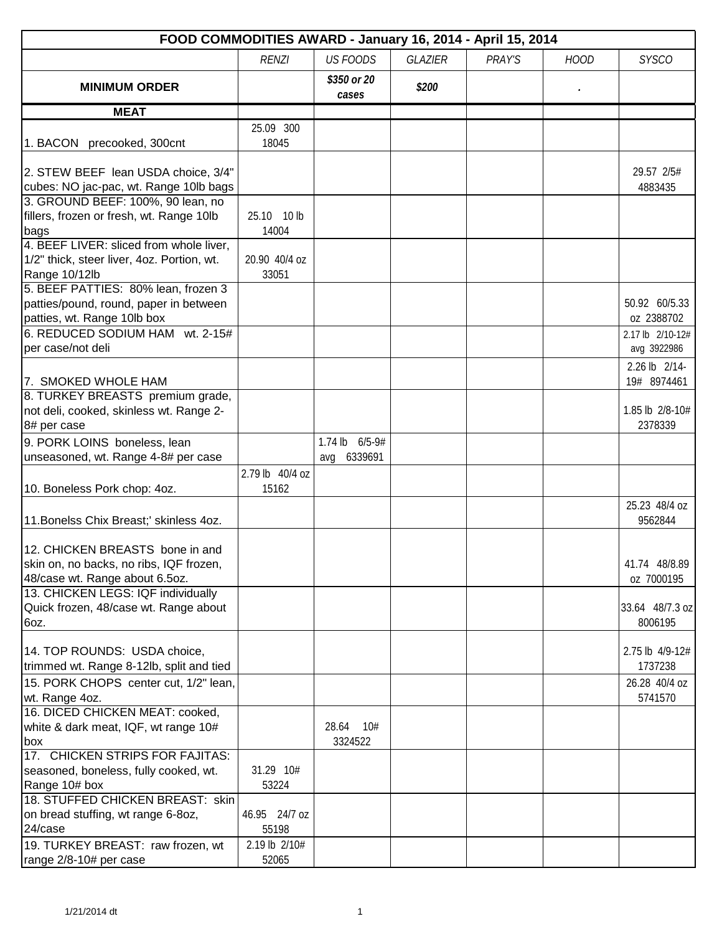| FOOD COMMODITIES AWARD - January 16, 2014 - April 15, 2014                                                   |                         |                               |                |        |             |                                 |  |
|--------------------------------------------------------------------------------------------------------------|-------------------------|-------------------------------|----------------|--------|-------------|---------------------------------|--|
|                                                                                                              | <b>RENZI</b>            | <b>US FOODS</b>               | <b>GLAZIER</b> | PRAY'S | <b>HOOD</b> | <b>SYSCO</b>                    |  |
| <b>MINIMUM ORDER</b>                                                                                         |                         | \$350 or 20<br>cases          | \$200          |        |             |                                 |  |
| <b>MEAT</b>                                                                                                  |                         |                               |                |        |             |                                 |  |
|                                                                                                              | 25.09 300               |                               |                |        |             |                                 |  |
| 1. BACON precooked, 300cnt                                                                                   | 18045                   |                               |                |        |             |                                 |  |
| 2. STEW BEEF lean USDA choice, 3/4"<br>cubes: NO jac-pac, wt. Range 10lb bags                                |                         |                               |                |        |             | 29.57 2/5#<br>4883435           |  |
| 3. GROUND BEEF: 100%, 90 lean, no<br>fillers, frozen or fresh, wt. Range 10lb<br>bags                        | 25.10<br>10 lb<br>14004 |                               |                |        |             |                                 |  |
| 4. BEEF LIVER: sliced from whole liver,<br>1/2" thick, steer liver, 4oz. Portion, wt.<br>Range 10/12lb       | 20.90 40/4 oz<br>33051  |                               |                |        |             |                                 |  |
| 5. BEEF PATTIES: 80% lean, frozen 3<br>patties/pound, round, paper in between<br>patties, wt. Range 10lb box |                         |                               |                |        |             | 50.92 60/5.33<br>oz 2388702     |  |
| 6. REDUCED SODIUM HAM wt. 2-15#<br>per case/not deli                                                         |                         |                               |                |        |             | 2.17 lb 2/10-12#<br>avg 3922986 |  |
| 7. SMOKED WHOLE HAM                                                                                          |                         |                               |                |        |             | 2.26 lb 2/14-<br>19# 8974461    |  |
| 8. TURKEY BREASTS premium grade,<br>not deli, cooked, skinless wt. Range 2-<br>8# per case                   |                         |                               |                |        |             | 1.85 lb 2/8-10#<br>2378339      |  |
| 9. PORK LOINS boneless, lean                                                                                 |                         | 1.74 lb 6/5-9#<br>avg 6339691 |                |        |             |                                 |  |
| unseasoned, wt. Range 4-8# per case                                                                          | 2.79 lb 40/4 oz         |                               |                |        |             |                                 |  |
| 10. Boneless Pork chop: 4oz.                                                                                 | 15162                   |                               |                |        |             | 25.23 48/4 oz                   |  |
| 11. Bonelss Chix Breast;' skinless 4oz.                                                                      |                         |                               |                |        |             | 9562844                         |  |
| 12. CHICKEN BREASTS bone in and<br>skin on, no backs, no ribs, IQF frozen,<br>48/case wt. Range about 6.5oz. |                         |                               |                |        |             | 41.74 48/8.89<br>oz 7000195     |  |
| 13. CHICKEN LEGS: IQF individually<br>Quick frozen, 48/case wt. Range about<br>6oz.                          |                         |                               |                |        |             | 33.64 48/7.3 oz<br>8006195      |  |
| 14. TOP ROUNDS: USDA choice,<br>trimmed wt. Range 8-12lb, split and tied                                     |                         |                               |                |        |             | 2.75 lb 4/9-12#<br>1737238      |  |
| 15. PORK CHOPS center cut, 1/2" lean,<br>wt. Range 4oz.                                                      |                         |                               |                |        |             | 26.28 40/4 oz<br>5741570        |  |
| 16. DICED CHICKEN MEAT: cooked,<br>white & dark meat, IQF, wt range 10#<br>box                               |                         | 28.64<br>10#<br>3324522       |                |        |             |                                 |  |
| 17. CHICKEN STRIPS FOR FAJITAS:<br>seasoned, boneless, fully cooked, wt.<br>Range 10# box                    | 31.29 10#<br>53224      |                               |                |        |             |                                 |  |
| 18. STUFFED CHICKEN BREAST: skin<br>on bread stuffing, wt range 6-8oz,<br>24/case                            | 46.95 24/7 oz<br>55198  |                               |                |        |             |                                 |  |
| 19. TURKEY BREAST: raw frozen, wt<br>range 2/8-10# per case                                                  | 2.19 lb 2/10#<br>52065  |                               |                |        |             |                                 |  |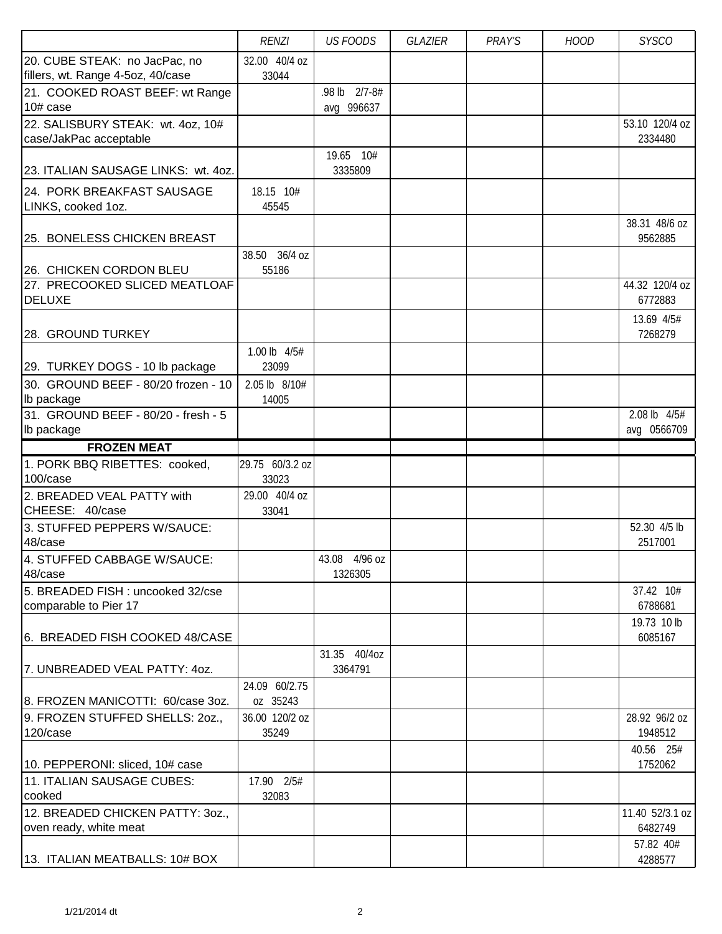|                                                   | <b>RENZI</b>             | <b>US FOODS</b> | GLAZIER | PRAY'S | <b>HOOD</b> | <b>SYSCO</b>                |
|---------------------------------------------------|--------------------------|-----------------|---------|--------|-------------|-----------------------------|
| 20. CUBE STEAK: no JacPac, no                     | 32.00 40/4 oz            |                 |         |        |             |                             |
| fillers, wt. Range 4-5oz, 40/case                 | 33044                    |                 |         |        |             |                             |
| 21. COOKED ROAST BEEF: wt Range                   |                          | .98 lb 2/7-8#   |         |        |             |                             |
| 10# case                                          |                          | avg 996637      |         |        |             |                             |
| 22. SALISBURY STEAK: wt. 4oz, 10#                 |                          |                 |         |        |             | 53.10 120/4 oz              |
| case/JakPac acceptable                            |                          |                 |         |        |             | 2334480                     |
|                                                   |                          | 19.65 10#       |         |        |             |                             |
| 23. ITALIAN SAUSAGE LINKS: wt. 4oz.               |                          | 3335809         |         |        |             |                             |
| 24. PORK BREAKFAST SAUSAGE                        | 18.15 10#                |                 |         |        |             |                             |
| LINKS, cooked 1oz.                                | 45545                    |                 |         |        |             |                             |
|                                                   |                          |                 |         |        |             | 38.31 48/6 oz               |
| 25. BONELESS CHICKEN BREAST                       |                          |                 |         |        |             | 9562885                     |
|                                                   | 38.50 36/4 oz            |                 |         |        |             |                             |
| 26. CHICKEN CORDON BLEU                           | 55186                    |                 |         |        |             |                             |
| 27. PRECOOKED SLICED MEATLOAF                     |                          |                 |         |        |             | 44.32 120/4 oz              |
| <b>DELUXE</b>                                     |                          |                 |         |        |             | 6772883                     |
|                                                   |                          |                 |         |        |             |                             |
| 28. GROUND TURKEY                                 |                          |                 |         |        |             | 13.69 4/5#<br>7268279       |
|                                                   |                          |                 |         |        |             |                             |
|                                                   | 1.00 lb 4/5#             |                 |         |        |             |                             |
| 29. TURKEY DOGS - 10 lb package                   | 23099                    |                 |         |        |             |                             |
| 30. GROUND BEEF - 80/20 frozen - 10               | 2.05 lb 8/10#            |                 |         |        |             |                             |
| Ib package                                        | 14005                    |                 |         |        |             |                             |
| 31. GROUND BEEF - 80/20 - fresh - 5<br>Ib package |                          |                 |         |        |             | 2.08 lb 4/5#<br>avg 0566709 |
|                                                   |                          |                 |         |        |             |                             |
| <b>FROZEN MEAT</b>                                |                          |                 |         |        |             |                             |
| 1. PORK BBQ RIBETTES: cooked,<br>100/case         | 29.75 60/3.2 oz<br>33023 |                 |         |        |             |                             |
| 2. BREADED VEAL PATTY with                        | 29.00 40/4 oz            |                 |         |        |             |                             |
| CHEESE: 40/case                                   | 33041                    |                 |         |        |             |                             |
| 3. STUFFED PEPPERS W/SAUCE:                       |                          |                 |         |        |             | 52.30 4/5 lb                |
| 48/case                                           |                          |                 |         |        |             | 2517001                     |
| 4. STUFFED CABBAGE W/SAUCE:                       |                          | 43.08 4/96 oz   |         |        |             |                             |
| 48/case                                           |                          | 1326305         |         |        |             |                             |
| 5. BREADED FISH : uncooked 32/cse                 |                          |                 |         |        |             | 37.42 10#                   |
| comparable to Pier 17                             |                          |                 |         |        |             | 6788681                     |
|                                                   |                          |                 |         |        |             | 19.73 10 lb                 |
| 6. BREADED FISH COOKED 48/CASE                    |                          |                 |         |        |             | 6085167                     |
|                                                   |                          | 31.35 40/4oz    |         |        |             |                             |
| 7. UNBREADED VEAL PATTY: 40Z.                     |                          | 3364791         |         |        |             |                             |
|                                                   | 24.09 60/2.75            |                 |         |        |             |                             |
| 8. FROZEN MANICOTTI: 60/case 3oz.                 | oz 35243                 |                 |         |        |             |                             |
| 9. FROZEN STUFFED SHELLS: 20Z.,                   | 36.00 120/2 oz           |                 |         |        |             | 28.92 96/2 oz               |
| 120/case                                          | 35249                    |                 |         |        |             | 1948512                     |
|                                                   |                          |                 |         |        |             | 40.56 25#                   |
| 10. PEPPERONI: sliced, 10# case                   |                          |                 |         |        |             | 1752062                     |
| 11. ITALIAN SAUSAGE CUBES:                        | 17.90 2/5#               |                 |         |        |             |                             |
| cooked                                            | 32083                    |                 |         |        |             |                             |
| 12. BREADED CHICKEN PATTY: 30Z.,                  |                          |                 |         |        |             | 11.40 52/3.1 oz             |
| oven ready, white meat                            |                          |                 |         |        |             | 6482749                     |
|                                                   |                          |                 |         |        |             | 57.82 40#                   |
| 13. ITALIAN MEATBALLS: 10# BOX                    |                          |                 |         |        |             | 4288577                     |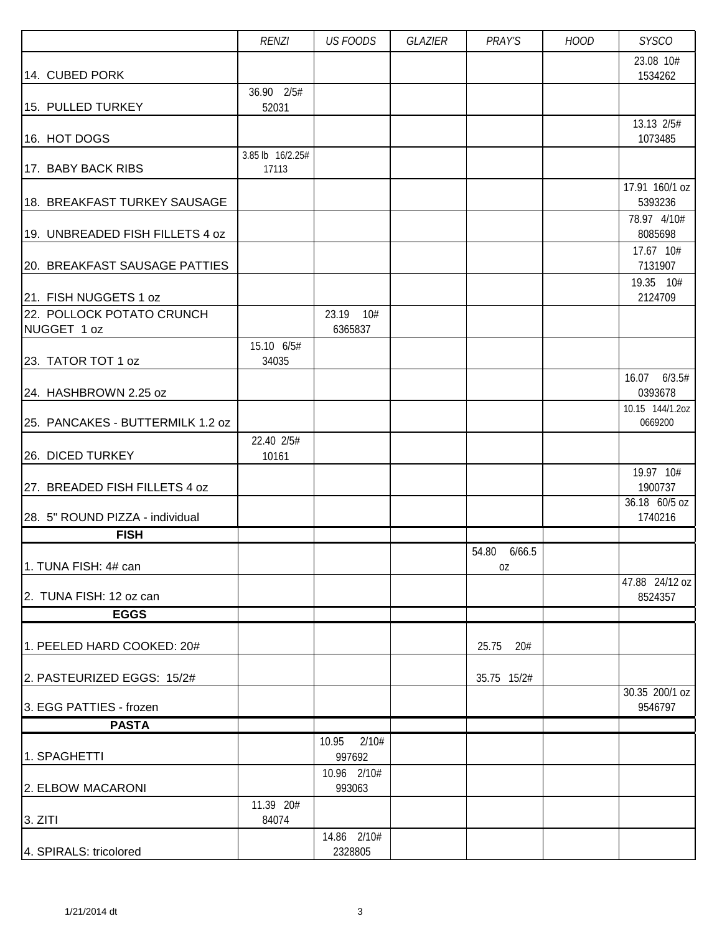|                                          | <b>RENZI</b>        | <b>US FOODS</b>          | GLAZIER | PRAY'S                | <b>HOOD</b> | <b>SYSCO</b>                          |
|------------------------------------------|---------------------|--------------------------|---------|-----------------------|-------------|---------------------------------------|
|                                          |                     |                          |         |                       |             | 23.08 10#                             |
| 14. CUBED PORK                           | 36.90 2/5#          |                          |         |                       |             | 1534262                               |
| 15. PULLED TURKEY                        | 52031               |                          |         |                       |             |                                       |
|                                          |                     |                          |         |                       |             | 13.13 2/5#                            |
| 16. HOT DOGS                             | 3.85 lb 16/2.25#    |                          |         |                       |             | 1073485                               |
| 17. BABY BACK RIBS                       | 17113               |                          |         |                       |             |                                       |
| 18. BREAKFAST TURKEY SAUSAGE             |                     |                          |         |                       |             | 17.91 160/1 oz<br>5393236             |
| 19. UNBREADED FISH FILLETS 4 oz          |                     |                          |         |                       |             | 78.97 4/10#<br>8085698                |
| 20. BREAKFAST SAUSAGE PATTIES            |                     |                          |         |                       |             | 17.67 10#<br>7131907                  |
| 21. FISH NUGGETS 1 oz                    |                     |                          |         |                       |             | 19.35 10#<br>2124709                  |
| 22. POLLOCK POTATO CRUNCH<br>NUGGET 1 oz |                     | 23.19 10#<br>6365837     |         |                       |             |                                       |
|                                          | 15.10 6/5#          |                          |         |                       |             |                                       |
| 23. TATOR TOT 1 oz                       | 34035               |                          |         |                       |             | 16.07 6/3.5#                          |
| 24. HASHBROWN 2.25 oz                    |                     |                          |         |                       |             | 0393678                               |
| 25. PANCAKES - BUTTERMILK 1.2 oz         |                     |                          |         |                       |             | 10.15 144/1.2oz<br>0669200            |
| 26. DICED TURKEY                         | 22.40 2/5#<br>10161 |                          |         |                       |             |                                       |
| 27. BREADED FISH FILLETS 4 oz            |                     |                          |         |                       |             | 19.97 10#<br>1900737                  |
| 28. 5" ROUND PIZZA - individual          |                     |                          |         |                       |             | $\overline{36.18}$ 60/5 oz<br>1740216 |
| <b>FISH</b>                              |                     |                          |         |                       |             |                                       |
| 1. TUNA FISH: 4# can                     |                     |                          |         | 54.80<br>6/66.5<br>0Z |             |                                       |
|                                          |                     |                          |         |                       |             | 47.88 24/12 oz                        |
| 2. TUNA FISH: 12 oz can                  |                     |                          |         |                       |             | 8524357                               |
| <b>EGGS</b>                              |                     |                          |         |                       |             |                                       |
| 1. PEELED HARD COOKED: 20#               |                     |                          |         | 25.75<br>20#          |             |                                       |
| 2. PASTEURIZED EGGS: 15/2#               |                     |                          |         | 35.75 15/2#           |             |                                       |
| 3. EGG PATTIES - frozen                  |                     |                          |         |                       |             | 30.35 200/1 oz<br>9546797             |
| <b>PASTA</b>                             |                     |                          |         |                       |             |                                       |
| 1. SPAGHETTI                             |                     | 10.95<br>2/10#<br>997692 |         |                       |             |                                       |
| 2. ELBOW MACARONI                        |                     | 10.96 2/10#<br>993063    |         |                       |             |                                       |
| 3. ZITI                                  | 11.39 20#<br>84074  |                          |         |                       |             |                                       |
| 4. SPIRALS: tricolored                   |                     | 14.86 2/10#<br>2328805   |         |                       |             |                                       |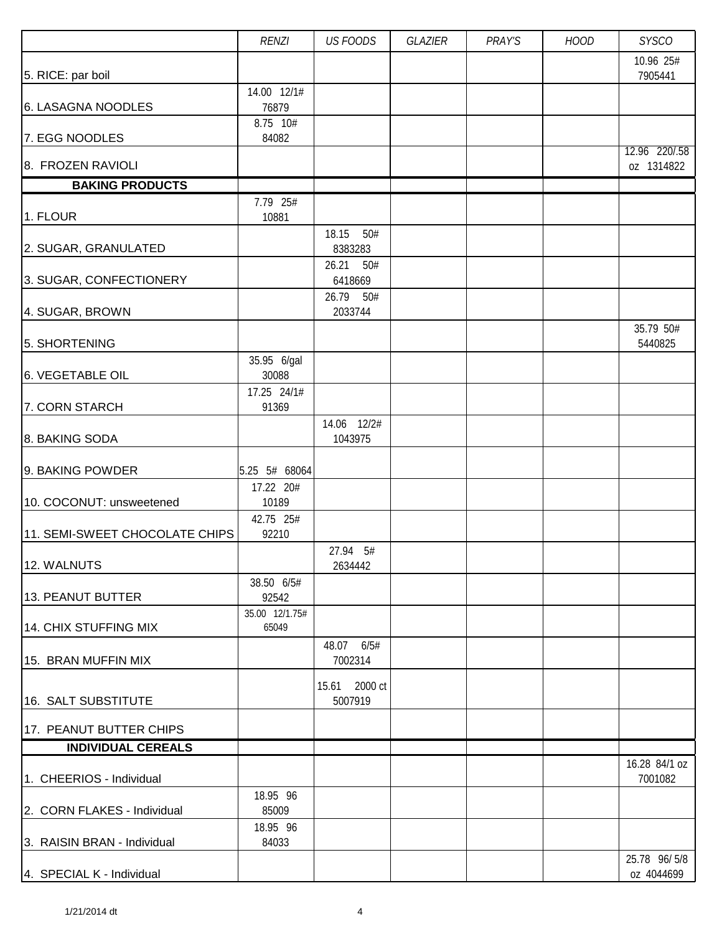|                                | <b>RENZI</b>               | <b>US FOODS</b>          | GLAZIER | PRAY'S | <b>HOOD</b> | <b>SYSCO</b>                |
|--------------------------------|----------------------------|--------------------------|---------|--------|-------------|-----------------------------|
|                                |                            |                          |         |        |             | 10.96 25#<br>7905441        |
| 5. RICE: par boil              | 14.00 12/1#                |                          |         |        |             |                             |
| 6. LASAGNA NOODLES             | 76879                      |                          |         |        |             |                             |
| 7. EGG NOODLES                 | 8.75 10#<br>84082          |                          |         |        |             |                             |
| 8. FROZEN RAVIOLI              |                            |                          |         |        |             | 12.96 220/.58<br>oz 1314822 |
| <b>BAKING PRODUCTS</b>         |                            |                          |         |        |             |                             |
|                                | 7.79 25#                   |                          |         |        |             |                             |
| 1. FLOUR                       | 10881                      |                          |         |        |             |                             |
| 2. SUGAR, GRANULATED           |                            | 18.15<br>50#<br>8383283  |         |        |             |                             |
|                                |                            | 26.21<br>50#             |         |        |             |                             |
| 3. SUGAR, CONFECTIONERY        |                            | 6418669                  |         |        |             |                             |
|                                |                            | 26.79<br>50#             |         |        |             |                             |
| 4. SUGAR, BROWN                |                            | 2033744                  |         |        |             | 35.79 50#                   |
| 5. SHORTENING                  |                            |                          |         |        |             | 5440825                     |
|                                | 35.95 6/gal                |                          |         |        |             |                             |
| 6. VEGETABLE OIL               | 30088                      |                          |         |        |             |                             |
| 7. CORN STARCH                 | 17.25 24/1#<br>91369       |                          |         |        |             |                             |
|                                |                            | 14.06 12/2#              |         |        |             |                             |
| 8. BAKING SODA                 |                            | 1043975                  |         |        |             |                             |
|                                |                            |                          |         |        |             |                             |
| 9. BAKING POWDER               | 5.25 5# 68064<br>17.22 20# |                          |         |        |             |                             |
| 10. COCONUT: unsweetened       | 10189                      |                          |         |        |             |                             |
|                                | 42.75 25#                  |                          |         |        |             |                             |
| 11. SEMI-SWEET CHOCOLATE CHIPS | 92210                      |                          |         |        |             |                             |
| 12. WALNUTS                    |                            | 27.94 5#<br>2634442      |         |        |             |                             |
|                                | 38.50 6/5#                 |                          |         |        |             |                             |
| 13. PEANUT BUTTER              | 92542                      |                          |         |        |             |                             |
|                                | 35.00 12/1.75#             |                          |         |        |             |                             |
| 14. CHIX STUFFING MIX          | 65049                      |                          |         |        |             |                             |
| 15. BRAN MUFFIN MIX            |                            | 48.07 6/5#<br>7002314    |         |        |             |                             |
|                                |                            |                          |         |        |             |                             |
| 16. SALT SUBSTITUTE            |                            | 15.61 2000 ct<br>5007919 |         |        |             |                             |
|                                |                            |                          |         |        |             |                             |
| 17. PEANUT BUTTER CHIPS        |                            |                          |         |        |             |                             |
| <b>INDIVIDUAL CEREALS</b>      |                            |                          |         |        |             |                             |
| 1. CHEERIOS - Individual       |                            |                          |         |        |             | 16.28 84/1 oz<br>7001082    |
|                                | 18.95 96                   |                          |         |        |             |                             |
| 2. CORN FLAKES - Individual    | 85009                      |                          |         |        |             |                             |
| 3. RAISIN BRAN - Individual    | 18.95 96<br>84033          |                          |         |        |             |                             |
|                                |                            |                          |         |        |             | 25.78 96/5/8                |
| 4. SPECIAL K - Individual      |                            |                          |         |        |             | oz 4044699                  |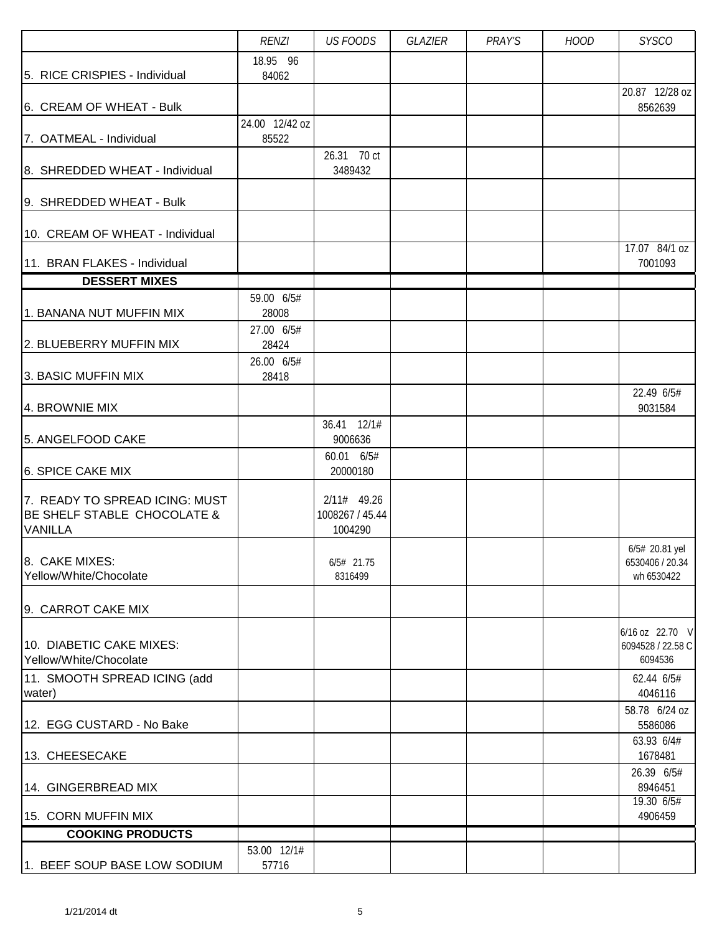|                                                                                 | <b>RENZI</b>        | <b>US FOODS</b>                             | GLAZIER | PRAY'S | <b>HOOD</b> | <b>SYSCO</b>                                    |
|---------------------------------------------------------------------------------|---------------------|---------------------------------------------|---------|--------|-------------|-------------------------------------------------|
|                                                                                 | 18.95 96            |                                             |         |        |             |                                                 |
| 5. RICE CRISPIES - Individual                                                   | 84062               |                                             |         |        |             | 20.87 12/28 oz                                  |
| 6. CREAM OF WHEAT - Bulk                                                        |                     |                                             |         |        |             | 8562639                                         |
|                                                                                 | 24.00 12/42 oz      |                                             |         |        |             |                                                 |
| 7. OATMEAL - Individual                                                         | 85522               |                                             |         |        |             |                                                 |
| 8. SHREDDED WHEAT - Individual                                                  |                     | 26.31 70 ct<br>3489432                      |         |        |             |                                                 |
|                                                                                 |                     |                                             |         |        |             |                                                 |
| 9. SHREDDED WHEAT - Bulk                                                        |                     |                                             |         |        |             |                                                 |
| 10. CREAM OF WHEAT - Individual                                                 |                     |                                             |         |        |             | 17.07 84/1 oz                                   |
| 11. BRAN FLAKES - Individual                                                    |                     |                                             |         |        |             | 7001093                                         |
| <b>DESSERT MIXES</b>                                                            |                     |                                             |         |        |             |                                                 |
|                                                                                 | 59.00 6/5#          |                                             |         |        |             |                                                 |
| 1. BANANA NUT MUFFIN MIX                                                        | 28008<br>27.00 6/5# |                                             |         |        |             |                                                 |
| 2. BLUEBERRY MUFFIN MIX                                                         | 28424               |                                             |         |        |             |                                                 |
|                                                                                 | 26.00 6/5#          |                                             |         |        |             |                                                 |
| 3. BASIC MUFFIN MIX                                                             | 28418               |                                             |         |        |             |                                                 |
| 4. BROWNIE MIX                                                                  |                     |                                             |         |        |             | 22.49 6/5#<br>9031584                           |
| 5. ANGELFOOD CAKE                                                               |                     | 36.41 12/1#<br>9006636                      |         |        |             |                                                 |
|                                                                                 |                     | 60.01 6/5#                                  |         |        |             |                                                 |
| 6. SPICE CAKE MIX                                                               |                     | 20000180                                    |         |        |             |                                                 |
| 7. READY TO SPREAD ICING: MUST<br>BE SHELF STABLE CHOCOLATE &<br><b>VANILLA</b> |                     | $2/11#$ 49.26<br>1008267 / 45.44<br>1004290 |         |        |             |                                                 |
|                                                                                 |                     |                                             |         |        |             | 6/5# 20.81 yel                                  |
| 8. CAKE MIXES:<br>Yellow/White/Chocolate                                        |                     | 6/5# 21.75<br>8316499                       |         |        |             | 6530406 / 20.34<br>wh 6530422                   |
|                                                                                 |                     |                                             |         |        |             |                                                 |
| 9. CARROT CAKE MIX                                                              |                     |                                             |         |        |             |                                                 |
| 10. DIABETIC CAKE MIXES:<br>Yellow/White/Chocolate                              |                     |                                             |         |        |             | 6/16 oz 22.70 V<br>6094528 / 22.58 C<br>6094536 |
| 11. SMOOTH SPREAD ICING (add<br>water)                                          |                     |                                             |         |        |             | 62.44 6/5#<br>4046116                           |
| 12. EGG CUSTARD - No Bake                                                       |                     |                                             |         |        |             | 58.78 6/24 oz<br>5586086                        |
| 13. CHEESECAKE                                                                  |                     |                                             |         |        |             | 63.93 6/4#<br>1678481                           |
| 14. GINGERBREAD MIX                                                             |                     |                                             |         |        |             | 26.39 6/5#<br>8946451                           |
| 15. CORN MUFFIN MIX                                                             |                     |                                             |         |        |             | 19.30 6/5#<br>4906459                           |
| <b>COOKING PRODUCTS</b>                                                         |                     |                                             |         |        |             |                                                 |
|                                                                                 | 53.00 12/1#         |                                             |         |        |             |                                                 |
| 1. BEEF SOUP BASE LOW SODIUM                                                    | 57716               |                                             |         |        |             |                                                 |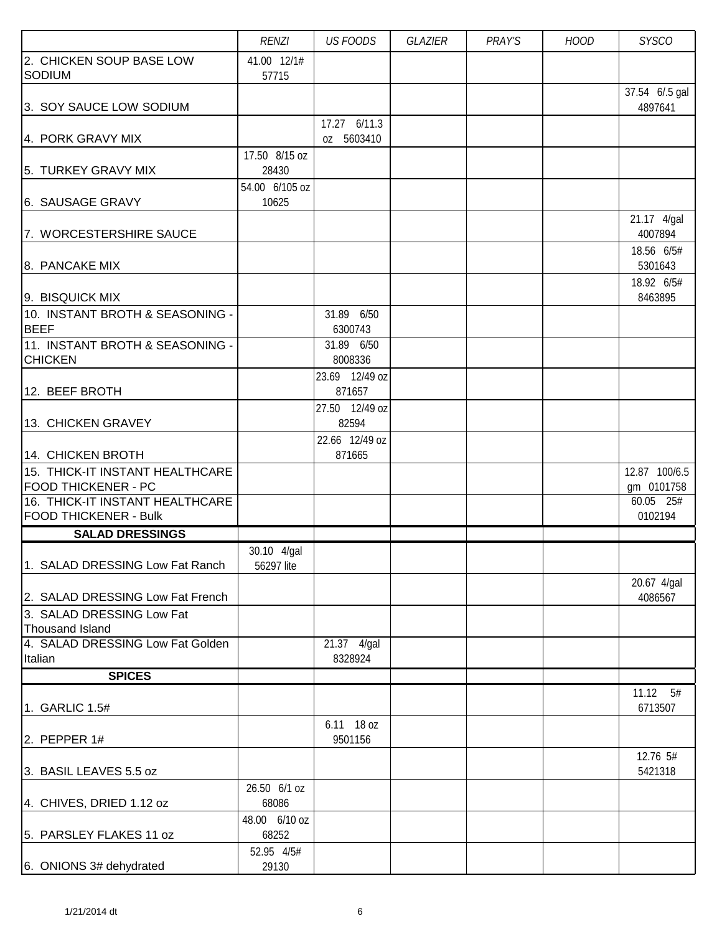|                                                               | <b>RENZI</b>              | <b>US FOODS</b>         | GLAZIER | PRAY'S | <b>HOOD</b> | <b>SYSCO</b>            |
|---------------------------------------------------------------|---------------------------|-------------------------|---------|--------|-------------|-------------------------|
| 2. CHICKEN SOUP BASE LOW<br>SODIUM                            | 41.00 12/1#<br>57715      |                         |         |        |             |                         |
|                                                               |                           |                         |         |        |             | 37.54 6/.5 gal          |
| 3. SOY SAUCE LOW SODIUM                                       |                           |                         |         |        |             | 4897641                 |
|                                                               |                           | 17.27 6/11.3            |         |        |             |                         |
| 4. PORK GRAVY MIX                                             |                           | oz 5603410              |         |        |             |                         |
| 5. TURKEY GRAVY MIX                                           | 17.50 8/15 oz<br>28430    |                         |         |        |             |                         |
|                                                               | 54.00 6/105 oz            |                         |         |        |             |                         |
| 6. SAUSAGE GRAVY                                              | 10625                     |                         |         |        |             |                         |
|                                                               |                           |                         |         |        |             | 21.17 4/gal             |
| 7. WORCESTERSHIRE SAUCE                                       |                           |                         |         |        |             | 4007894                 |
|                                                               |                           |                         |         |        |             | 18.56 6/5#              |
| 8. PANCAKE MIX                                                |                           |                         |         |        |             | 5301643                 |
| 9. BISQUICK MIX                                               |                           |                         |         |        |             | 18.92 6/5#<br>8463895   |
| 10. INSTANT BROTH & SEASONING -                               |                           | 31.89 6/50              |         |        |             |                         |
| <b>BEEF</b>                                                   |                           | 6300743                 |         |        |             |                         |
| 11. INSTANT BROTH & SEASONING -                               |                           | 31.89 6/50              |         |        |             |                         |
| <b>CHICKEN</b>                                                |                           | 8008336                 |         |        |             |                         |
|                                                               |                           | 23.69 12/49 oz          |         |        |             |                         |
| 12. BEEF BROTH                                                |                           | 871657                  |         |        |             |                         |
| 13. CHICKEN GRAVEY                                            |                           | 27.50 12/49 oz<br>82594 |         |        |             |                         |
|                                                               |                           | 22.66 12/49 oz          |         |        |             |                         |
| 14. CHICKEN BROTH                                             |                           | 871665                  |         |        |             |                         |
| 15. THICK-IT INSTANT HEALTHCARE                               |                           |                         |         |        |             | 12.87 100/6.5           |
| <b>FOOD THICKENER - PC</b><br>16. THICK-IT INSTANT HEALTHCARE |                           |                         |         |        |             | gm 0101758<br>60.05 25# |
| <b>FOOD THICKENER - Bulk</b>                                  |                           |                         |         |        |             | 0102194                 |
| <b>SALAD DRESSINGS</b>                                        |                           |                         |         |        |             |                         |
| 1. SALAD DRESSING Low Fat Ranch                               | 30.10 4/gal<br>56297 lite |                         |         |        |             |                         |
|                                                               |                           |                         |         |        |             | 20.67 4/gal             |
| 2. SALAD DRESSING Low Fat French                              |                           |                         |         |        |             | 4086567                 |
| 3. SALAD DRESSING Low Fat                                     |                           |                         |         |        |             |                         |
| <b>Thousand Island</b>                                        |                           |                         |         |        |             |                         |
| 4. SALAD DRESSING Low Fat Golden                              |                           | 21.37 4/gal             |         |        |             |                         |
| Italian                                                       |                           | 8328924                 |         |        |             |                         |
| <b>SPICES</b>                                                 |                           |                         |         |        |             |                         |
| 1. GARLIC 1.5#                                                |                           |                         |         |        |             | 11.12<br>5#<br>6713507  |
|                                                               |                           | 6.11 18 oz              |         |        |             |                         |
| 2. PEPPER $1#$                                                |                           | 9501156                 |         |        |             |                         |
|                                                               |                           |                         |         |        |             | 12.76 5#                |
| 3. BASIL LEAVES 5.5 oz                                        |                           |                         |         |        |             | 5421318                 |
|                                                               | 26.50 6/1 oz              |                         |         |        |             |                         |
| 4. CHIVES, DRIED 1.12 oz                                      | 68086<br>48.00 6/10 oz    |                         |         |        |             |                         |
| 5. PARSLEY FLAKES 11 oz                                       | 68252                     |                         |         |        |             |                         |
|                                                               | 52.95 4/5#                |                         |         |        |             |                         |
| 6. ONIONS 3# dehydrated                                       | 29130                     |                         |         |        |             |                         |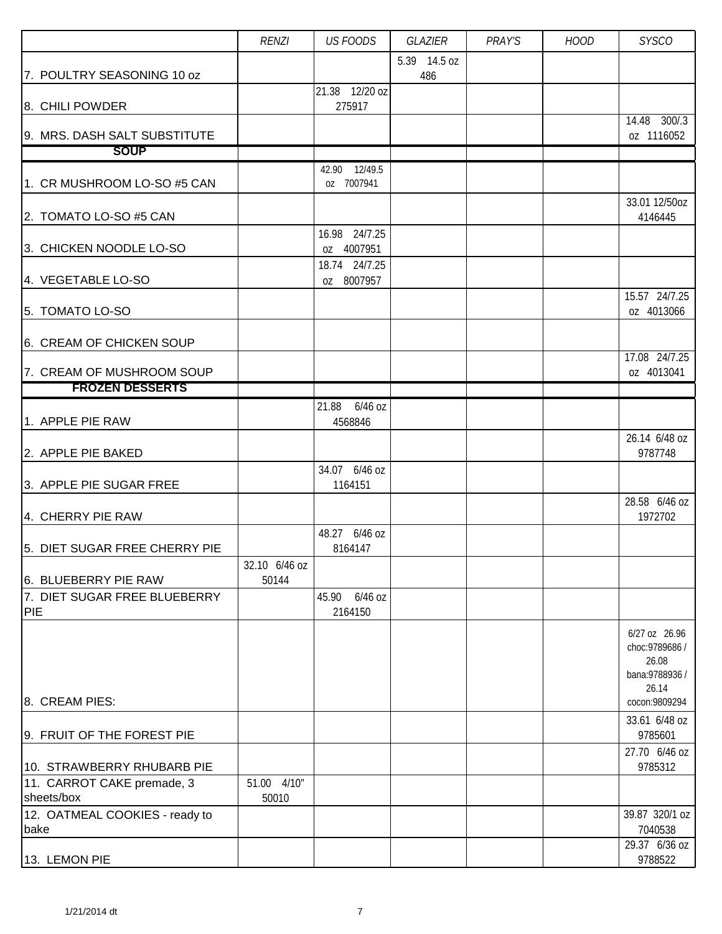|                                             | <b>RENZI</b>  | <b>US FOODS</b>             | <b>GLAZIER</b> | PRAY'S | <b>HOOD</b> | <b>SYSCO</b>                     |
|---------------------------------------------|---------------|-----------------------------|----------------|--------|-------------|----------------------------------|
|                                             |               |                             | 5.39 14.5 oz   |        |             |                                  |
| 7. POULTRY SEASONING 10 oz                  |               | 21.38 12/20 oz              | 486            |        |             |                                  |
| 8. CHILI POWDER                             |               | 275917                      |                |        |             |                                  |
|                                             |               |                             |                |        |             | 14.48 300/.3                     |
| 9. MRS. DASH SALT SUBSTITUTE<br><b>SOUP</b> |               |                             |                |        |             | oz 1116052                       |
|                                             |               | 42.90 12/49.5               |                |        |             |                                  |
| 1. CR MUSHROOM LO-SO #5 CAN                 |               | oz 7007941                  |                |        |             |                                  |
|                                             |               |                             |                |        |             | 33.01 12/50oz                    |
| 2. TOMATO LO-SO #5 CAN                      |               |                             |                |        |             | 4146445                          |
|                                             |               | 16.98 24/7.25               |                |        |             |                                  |
| 3. CHICKEN NOODLE LO-SO                     |               | oz 4007951<br>18.74 24/7.25 |                |        |             |                                  |
| 4. VEGETABLE LO-SO                          |               | oz 8007957                  |                |        |             |                                  |
|                                             |               |                             |                |        |             | 15.57 24/7.25                    |
| 5. TOMATO LO-SO                             |               |                             |                |        |             | oz 4013066                       |
| 6. CREAM OF CHICKEN SOUP                    |               |                             |                |        |             |                                  |
|                                             |               |                             |                |        |             | 17.08 24/7.25                    |
| 7. CREAM OF MUSHROOM SOUP                   |               |                             |                |        |             | oz 4013041                       |
| <b>FROZEN DESSERTS</b>                      |               |                             |                |        |             |                                  |
|                                             |               | 21.88 6/46 oz               |                |        |             |                                  |
| 1. APPLE PIE RAW                            |               | 4568846                     |                |        |             | 26.14 6/48 oz                    |
| 2. APPLE PIE BAKED                          |               |                             |                |        |             | 9787748                          |
|                                             |               | 34.07 6/46 oz               |                |        |             |                                  |
| 3. APPLE PIE SUGAR FREE                     |               | 1164151                     |                |        |             |                                  |
| 4. CHERRY PIE RAW                           |               |                             |                |        |             | 28.58 6/46 oz<br>1972702         |
|                                             |               | 48.27 6/46 oz               |                |        |             |                                  |
| 5. DIET SUGAR FREE CHERRY PIE               |               | 8164147                     |                |        |             |                                  |
|                                             | 32.10 6/46 oz |                             |                |        |             |                                  |
| 6. BLUEBERRY PIE RAW                        | 50144         |                             |                |        |             |                                  |
| 7. DIET SUGAR FREE BLUEBERRY<br>PIE         |               | 6/46 oz<br>45.90<br>2164150 |                |        |             |                                  |
|                                             |               |                             |                |        |             |                                  |
|                                             |               |                             |                |        |             | 6/27 oz 26.96<br>choc: 9789686 / |
|                                             |               |                             |                |        |             | 26.08                            |
|                                             |               |                             |                |        |             | bana: 9788936 /                  |
| 8. CREAM PIES:                              |               |                             |                |        |             | 26.14<br>cocon: 9809294          |
|                                             |               |                             |                |        |             | 33.61 6/48 oz                    |
| 9. FRUIT OF THE FOREST PIE                  |               |                             |                |        |             | 9785601                          |
|                                             |               |                             |                |        |             | 27.70 6/46 oz                    |
| 10. STRAWBERRY RHUBARB PIE                  | 51.00 4/10"   |                             |                |        |             | 9785312                          |
| 11. CARROT CAKE premade, 3<br>sheets/box    | 50010         |                             |                |        |             |                                  |
| 12. OATMEAL COOKIES - ready to              |               |                             |                |        |             | 39.87 320/1 oz                   |
| bake                                        |               |                             |                |        |             | 7040538                          |
| 13. LEMON PIE                               |               |                             |                |        |             | 29.37 6/36 oz<br>9788522         |
|                                             |               |                             |                |        |             |                                  |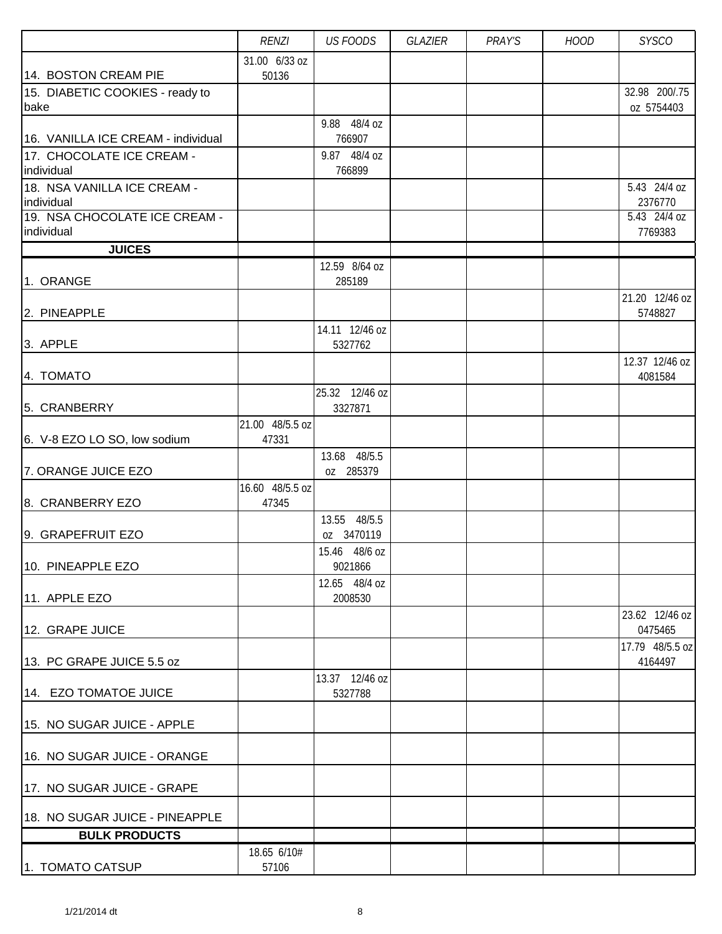|                                           | <b>RENZI</b>    | <b>US FOODS</b>             | GLAZIER | PRAY'S | <b>HOOD</b> | <b>SYSCO</b>                |
|-------------------------------------------|-----------------|-----------------------------|---------|--------|-------------|-----------------------------|
|                                           | 31.00 6/33 oz   |                             |         |        |             |                             |
| 14. BOSTON CREAM PIE                      | 50136           |                             |         |        |             |                             |
| 15. DIABETIC COOKIES - ready to<br>bake   |                 |                             |         |        |             | 32.98 200/.75<br>oz 5754403 |
|                                           |                 | 9.88 48/4 oz                |         |        |             |                             |
| 16. VANILLA ICE CREAM - individual        |                 | 766907                      |         |        |             |                             |
| 17. CHOCOLATE ICE CREAM -                 |                 | 9.87 48/4 oz                |         |        |             |                             |
| individual                                |                 | 766899                      |         |        |             |                             |
| 18. NSA VANILLA ICE CREAM -<br>individual |                 |                             |         |        |             | 5.43 24/4 oz<br>2376770     |
| 19. NSA CHOCOLATE ICE CREAM -             |                 |                             |         |        |             | 5.43 24/4 oz                |
| individual                                |                 |                             |         |        |             | 7769383                     |
| <b>JUICES</b>                             |                 |                             |         |        |             |                             |
| 1. ORANGE                                 |                 | 12.59 8/64 oz<br>285189     |         |        |             |                             |
|                                           |                 |                             |         |        |             | 21.20 12/46 oz              |
| 2. PINEAPPLE                              |                 |                             |         |        |             | 5748827                     |
|                                           |                 | 14.11 12/46 oz              |         |        |             |                             |
| 3. APPLE                                  |                 | 5327762                     |         |        |             |                             |
| 4. TOMATO                                 |                 |                             |         |        |             | 12.37 12/46 oz<br>4081584   |
|                                           |                 | 25.32 12/46 oz              |         |        |             |                             |
| 5. CRANBERRY                              |                 | 3327871                     |         |        |             |                             |
|                                           | 21.00 48/5.5 oz |                             |         |        |             |                             |
| 6. V-8 EZO LO SO, low sodium              | 47331           | 13.68 48/5.5                |         |        |             |                             |
| 7. ORANGE JUICE EZO                       |                 | oz 285379                   |         |        |             |                             |
|                                           | 16.60 48/5.5 oz |                             |         |        |             |                             |
| 8. CRANBERRY EZO                          | 47345           |                             |         |        |             |                             |
|                                           |                 | 13.55 48/5.5                |         |        |             |                             |
| 9. GRAPEFRUIT EZO                         |                 | oz 3470119<br>15.46 48/6 oz |         |        |             |                             |
| 10. PINEAPPLE EZO                         |                 | 9021866                     |         |        |             |                             |
|                                           |                 | 12.65 48/4 oz               |         |        |             |                             |
| 11. APPLE EZO                             |                 | 2008530                     |         |        |             |                             |
| 12. GRAPE JUICE                           |                 |                             |         |        |             | 23.62 12/46 oz<br>0475465   |
|                                           |                 |                             |         |        |             | 17.79 48/5.5 oz             |
| 13. PC GRAPE JUICE 5.5 oz                 |                 |                             |         |        |             | 4164497                     |
|                                           |                 | 13.37 12/46 oz              |         |        |             |                             |
| 14. EZO TOMATOE JUICE                     |                 | 5327788                     |         |        |             |                             |
| 15. NO SUGAR JUICE - APPLE                |                 |                             |         |        |             |                             |
|                                           |                 |                             |         |        |             |                             |
| 16. NO SUGAR JUICE - ORANGE               |                 |                             |         |        |             |                             |
| 17. NO SUGAR JUICE - GRAPE                |                 |                             |         |        |             |                             |
| 18. NO SUGAR JUICE - PINEAPPLE            |                 |                             |         |        |             |                             |
| <b>BULK PRODUCTS</b>                      |                 |                             |         |        |             |                             |
|                                           | 18.65 6/10#     |                             |         |        |             |                             |
| 1. TOMATO CATSUP                          | 57106           |                             |         |        |             |                             |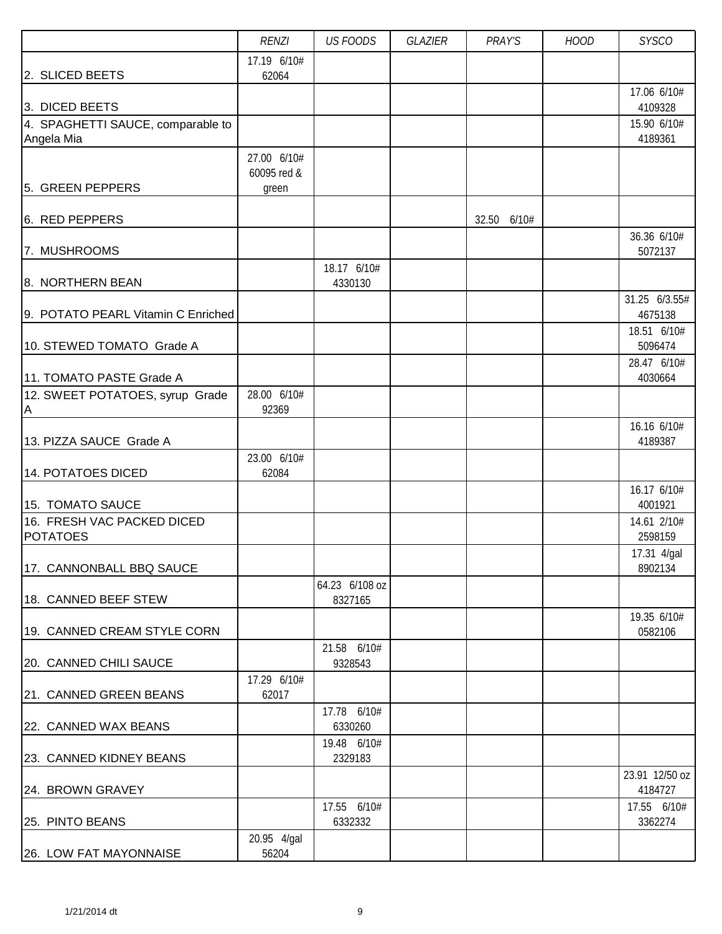|                                               | <b>RENZI</b>               | <b>US FOODS</b>           | GLAZIER | PRAY'S      | <b>HOOD</b> | <b>SYSCO</b>             |
|-----------------------------------------------|----------------------------|---------------------------|---------|-------------|-------------|--------------------------|
|                                               | 17.19 6/10#                |                           |         |             |             |                          |
| 2. SLICED BEETS                               | 62064                      |                           |         |             |             | 17.06 6/10#              |
| 3. DICED BEETS                                |                            |                           |         |             |             | 4109328                  |
| 4. SPAGHETTI SAUCE, comparable to             |                            |                           |         |             |             | 15.90 6/10#              |
| Angela Mia                                    |                            |                           |         |             |             | 4189361                  |
|                                               | 27.00 6/10#<br>60095 red & |                           |         |             |             |                          |
| 5. GREEN PEPPERS                              | green                      |                           |         |             |             |                          |
|                                               |                            |                           |         |             |             |                          |
| 6. RED PEPPERS                                |                            |                           |         | 32.50 6/10# |             | 36.36 6/10#              |
| 7. MUSHROOMS                                  |                            |                           |         |             |             | 5072137                  |
|                                               |                            | 18.17 6/10#               |         |             |             |                          |
| 8. NORTHERN BEAN                              |                            | 4330130                   |         |             |             |                          |
| 9. POTATO PEARL Vitamin C Enriched            |                            |                           |         |             |             | 31.25 6/3.55#<br>4675138 |
|                                               |                            |                           |         |             |             | 18.51 6/10#              |
| 10. STEWED TOMATO Grade A                     |                            |                           |         |             |             | 5096474                  |
| 11. TOMATO PASTE Grade A                      |                            |                           |         |             |             | 28.47 6/10#<br>4030664   |
| 12. SWEET POTATOES, syrup Grade               | 28.00 6/10#                |                           |         |             |             |                          |
| A                                             | 92369                      |                           |         |             |             |                          |
| 13. PIZZA SAUCE Grade A                       |                            |                           |         |             |             | 16.16 6/10#              |
|                                               | 23.00 6/10#                |                           |         |             |             | 4189387                  |
| 14. POTATOES DICED                            | 62084                      |                           |         |             |             |                          |
|                                               |                            |                           |         |             |             | 16.17 6/10#              |
| 15. TOMATO SAUCE                              |                            |                           |         |             |             | 4001921                  |
| 16. FRESH VAC PACKED DICED<br><b>POTATOES</b> |                            |                           |         |             |             | 14.61 2/10#<br>2598159   |
|                                               |                            |                           |         |             |             | 17.31 4/gal              |
| 17. CANNONBALL BBQ SAUCE                      |                            |                           |         |             |             | 8902134                  |
| 18. CANNED BEEF STEW                          |                            | 64.23 6/108 oz<br>8327165 |         |             |             |                          |
|                                               |                            |                           |         |             |             | 19.35 6/10#              |
| 19. CANNED CREAM STYLE CORN                   |                            |                           |         |             |             | 0582106                  |
|                                               |                            | 21.58 6/10#<br>9328543    |         |             |             |                          |
| 20. CANNED CHILI SAUCE                        | 17.29 6/10#                |                           |         |             |             |                          |
| 21. CANNED GREEN BEANS                        | 62017                      |                           |         |             |             |                          |
|                                               |                            | 17.78 6/10#               |         |             |             |                          |
| 22. CANNED WAX BEANS                          |                            | 6330260                   |         |             |             |                          |
| 23. CANNED KIDNEY BEANS                       |                            | 19.48 6/10#<br>2329183    |         |             |             |                          |
|                                               |                            |                           |         |             |             | 23.91 12/50 oz           |
| 24. BROWN GRAVEY                              |                            |                           |         |             |             | 4184727                  |
| 25. PINTO BEANS                               |                            | 17.55 6/10#<br>6332332    |         |             |             | 17.55 6/10#<br>3362274   |
|                                               | 20.95 4/gal                |                           |         |             |             |                          |
| 26. LOW FAT MAYONNAISE                        | 56204                      |                           |         |             |             |                          |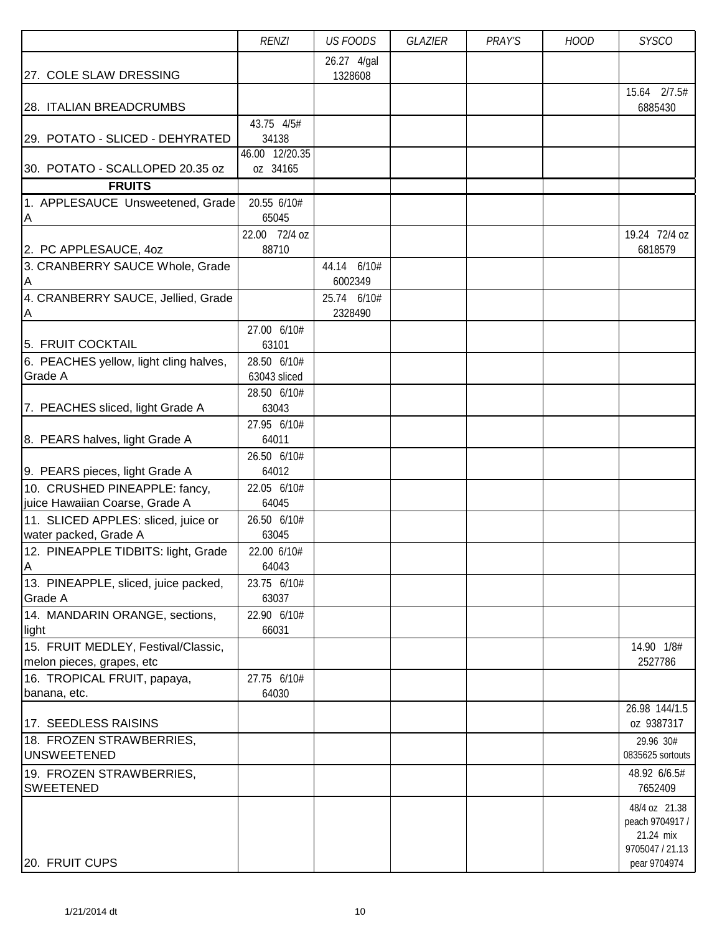|                                                                                                 | <b>RENZI</b>                          | <b>US FOODS</b>        | <b>GLAZIER</b> | PRAY'S | <b>HOOD</b> | <b>SYSCO</b>                                                                     |
|-------------------------------------------------------------------------------------------------|---------------------------------------|------------------------|----------------|--------|-------------|----------------------------------------------------------------------------------|
| 27. COLE SLAW DRESSING                                                                          |                                       | 26.27 4/gal<br>1328608 |                |        |             |                                                                                  |
| 28. ITALIAN BREADCRUMBS                                                                         |                                       |                        |                |        |             | 15.64 2/7.5#<br>6885430                                                          |
| 29. POTATO - SLICED - DEHYRATED                                                                 | 43.75 4/5#<br>34138<br>46.00 12/20.35 |                        |                |        |             |                                                                                  |
| 30. POTATO - SCALLOPED 20.35 oz                                                                 | oz 34165                              |                        |                |        |             |                                                                                  |
| <b>FRUITS</b>                                                                                   |                                       |                        |                |        |             |                                                                                  |
| 1. APPLESAUCE Unsweetened, Grade<br>$\overline{A}$                                              | 20.55 6/10#<br>65045                  |                        |                |        |             |                                                                                  |
| 2. PC APPLESAUCE, 40Z                                                                           | 22.00 72/4 oz<br>88710                |                        |                |        |             | 19.24 72/4 oz<br>6818579                                                         |
| 3. CRANBERRY SAUCE Whole, Grade<br>A                                                            |                                       | 44.14 6/10#<br>6002349 |                |        |             |                                                                                  |
| 4. CRANBERRY SAUCE, Jellied, Grade<br>$\overline{\mathsf{A}}$                                   |                                       | 25.74 6/10#<br>2328490 |                |        |             |                                                                                  |
| 5. FRUIT COCKTAIL                                                                               | 27.00 6/10#<br>63101                  |                        |                |        |             |                                                                                  |
| 6. PEACHES yellow, light cling halves,<br>Grade A                                               | 28.50 6/10#<br>63043 sliced           |                        |                |        |             |                                                                                  |
| 7. PEACHES sliced, light Grade A                                                                | 28.50 6/10#<br>63043                  |                        |                |        |             |                                                                                  |
| 8. PEARS halves, light Grade A                                                                  | 27.95 6/10#<br>64011                  |                        |                |        |             |                                                                                  |
| 9. PEARS pieces, light Grade A                                                                  | 26.50 6/10#<br>64012                  |                        |                |        |             |                                                                                  |
| 10. CRUSHED PINEAPPLE: fancy,<br>juice Hawaiian Coarse, Grade A                                 | 22.05 6/10#<br>64045                  |                        |                |        |             |                                                                                  |
| 11. SLICED APPLES: sliced, juice or<br>water packed, Grade A                                    | 26.50 6/10#<br>63045                  |                        |                |        |             |                                                                                  |
| 12. PINEAPPLE TIDBITS: light, Grade<br>$\overline{A}$                                           | 22.00 6/10#<br>64043                  |                        |                |        |             |                                                                                  |
| 13. PINEAPPLE, sliced, juice packed,<br>Grade A                                                 | 23.75 6/10#<br>63037                  |                        |                |        |             |                                                                                  |
| 14. MANDARIN ORANGE, sections,<br>light                                                         | 22.90 6/10#<br>66031                  |                        |                |        |             |                                                                                  |
| 15. FRUIT MEDLEY, Festival/Classic,<br>melon pieces, grapes, etc<br>16. TROPICAL FRUIT, papaya, | 27.75 6/10#                           |                        |                |        |             | 14.90 1/8#<br>2527786                                                            |
| banana, etc.                                                                                    | 64030                                 |                        |                |        |             | 26.98 144/1.5                                                                    |
| 17. SEEDLESS RAISINS                                                                            |                                       |                        |                |        |             | oz 9387317                                                                       |
| 18. FROZEN STRAWBERRIES,<br><b>UNSWEETENED</b>                                                  |                                       |                        |                |        |             | 29.96 30#<br>0835625 sortouts                                                    |
| 19. FROZEN STRAWBERRIES,<br><b>SWEETENED</b>                                                    |                                       |                        |                |        |             | 48.92 6/6.5#<br>7652409                                                          |
| 20. FRUIT CUPS                                                                                  |                                       |                        |                |        |             | 48/4 oz 21.38<br>peach 9704917 /<br>21.24 mix<br>9705047 / 21.13<br>pear 9704974 |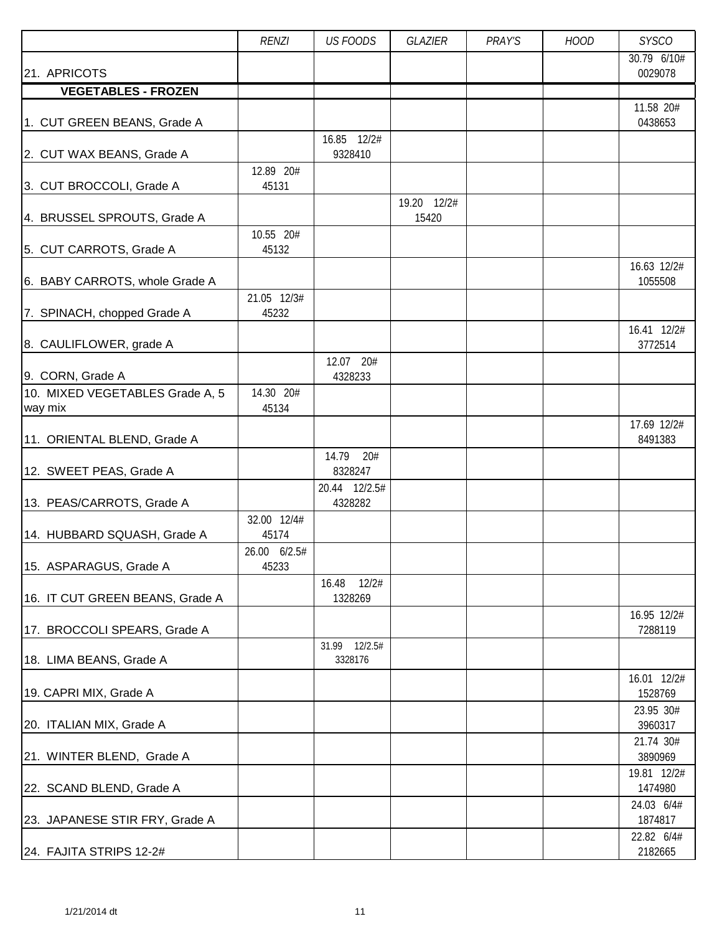|                                            | <b>RENZI</b>          | <b>US FOODS</b>           | <b>GLAZIER</b>       | PRAY'S | <b>HOOD</b> | <b>SYSCO</b>           |
|--------------------------------------------|-----------------------|---------------------------|----------------------|--------|-------------|------------------------|
| 21. APRICOTS                               |                       |                           |                      |        |             | 30.79 6/10#<br>0029078 |
| <b>VEGETABLES - FROZEN</b>                 |                       |                           |                      |        |             |                        |
| 1. CUT GREEN BEANS, Grade A                |                       |                           |                      |        |             | 11.58 20#<br>0438653   |
| 2. CUT WAX BEANS, Grade A                  |                       | 16.85 12/2#<br>9328410    |                      |        |             |                        |
| 3. CUT BROCCOLI, Grade A                   | 12.89 20#<br>45131    |                           |                      |        |             |                        |
| 4. BRUSSEL SPROUTS, Grade A                |                       |                           | 19.20 12/2#<br>15420 |        |             |                        |
| 5. CUT CARROTS, Grade A                    | 10.55 20#<br>45132    |                           |                      |        |             |                        |
| 6. BABY CARROTS, whole Grade A             |                       |                           |                      |        |             | 16.63 12/2#<br>1055508 |
| 7. SPINACH, chopped Grade A                | 21.05 12/3#<br>45232  |                           |                      |        |             |                        |
| 8. CAULIFLOWER, grade A                    |                       |                           |                      |        |             | 16.41 12/2#<br>3772514 |
| 9. CORN, Grade A                           |                       | 12.07 20#<br>4328233      |                      |        |             |                        |
| 10. MIXED VEGETABLES Grade A, 5<br>way mix | 14.30 20#<br>45134    |                           |                      |        |             |                        |
| 11. ORIENTAL BLEND, Grade A                |                       |                           |                      |        |             | 17.69 12/2#<br>8491383 |
| 12. SWEET PEAS, Grade A                    |                       | 14.79<br>20#<br>8328247   |                      |        |             |                        |
| 13. PEAS/CARROTS, Grade A                  |                       | 20.44 12/2.5#<br>4328282  |                      |        |             |                        |
| 14. HUBBARD SQUASH, Grade A                | 32.00 12/4#<br>45174  |                           |                      |        |             |                        |
| 15. ASPARAGUS, Grade A                     | 26.00 6/2.5#<br>45233 |                           |                      |        |             |                        |
| 16. IT CUT GREEN BEANS, Grade A            |                       | 12/2#<br>16.48<br>1328269 |                      |        |             |                        |
| 17. BROCCOLI SPEARS, Grade A               |                       |                           |                      |        |             | 16.95 12/2#<br>7288119 |
| 18. LIMA BEANS, Grade A                    |                       | 31.99 12/2.5#<br>3328176  |                      |        |             |                        |
| 19. CAPRI MIX, Grade A                     |                       |                           |                      |        |             | 16.01 12/2#<br>1528769 |
| 20. ITALIAN MIX, Grade A                   |                       |                           |                      |        |             | 23.95 30#<br>3960317   |
| 21. WINTER BLEND, Grade A                  |                       |                           |                      |        |             | 21.74 30#<br>3890969   |
| 22. SCAND BLEND, Grade A                   |                       |                           |                      |        |             | 19.81 12/2#<br>1474980 |
| 23. JAPANESE STIR FRY, Grade A             |                       |                           |                      |        |             | 24.03 6/4#<br>1874817  |
| 24. FAJITA STRIPS 12-2#                    |                       |                           |                      |        |             | 22.82 6/4#<br>2182665  |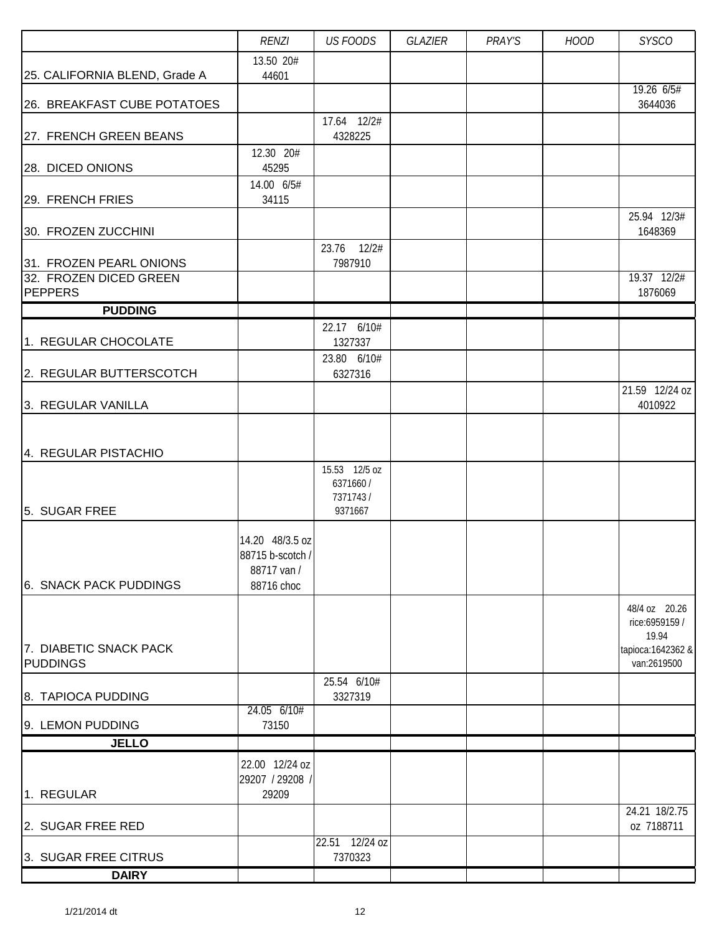|                                          | <b>RENZI</b>                    | <b>US FOODS</b>        | GLAZIER | PRAY'S | <b>HOOD</b> | <b>SYSCO</b>                |
|------------------------------------------|---------------------------------|------------------------|---------|--------|-------------|-----------------------------|
|                                          | 13.50 20#                       |                        |         |        |             |                             |
| 25. CALIFORNIA BLEND, Grade A            | 44601                           |                        |         |        |             | 19.26 6/5#                  |
| 26. BREAKFAST CUBE POTATOES              |                                 |                        |         |        |             | 3644036                     |
|                                          |                                 | 17.64 12/2#            |         |        |             |                             |
| 27. FRENCH GREEN BEANS                   | 12.30 20#                       | 4328225                |         |        |             |                             |
| 28. DICED ONIONS                         | 45295                           |                        |         |        |             |                             |
|                                          | 14.00 6/5#                      |                        |         |        |             |                             |
| 29. FRENCH FRIES                         | 34115                           |                        |         |        |             |                             |
| 30. FROZEN ZUCCHINI                      |                                 |                        |         |        |             | 25.94 12/3#<br>1648369      |
|                                          |                                 | 23.76 12/2#            |         |        |             |                             |
| 31. FROZEN PEARL ONIONS                  |                                 | 7987910                |         |        |             |                             |
| 32. FROZEN DICED GREEN<br><b>PEPPERS</b> |                                 |                        |         |        |             | 19.37 12/2#<br>1876069      |
| <b>PUDDING</b>                           |                                 |                        |         |        |             |                             |
|                                          |                                 | 22.17 6/10#            |         |        |             |                             |
| 1. REGULAR CHOCOLATE                     |                                 | 1327337                |         |        |             |                             |
| 2. REGULAR BUTTERSCOTCH                  |                                 | 23.80 6/10#<br>6327316 |         |        |             |                             |
|                                          |                                 |                        |         |        |             | 21.59 12/24 oz              |
| 3. REGULAR VANILLA                       |                                 |                        |         |        |             | 4010922                     |
|                                          |                                 |                        |         |        |             |                             |
| 4. REGULAR PISTACHIO                     |                                 |                        |         |        |             |                             |
|                                          |                                 | 15.53 12/5 oz          |         |        |             |                             |
|                                          |                                 | 6371660 /              |         |        |             |                             |
| 5. SUGAR FREE                            |                                 | 7371743/<br>9371667    |         |        |             |                             |
|                                          |                                 |                        |         |        |             |                             |
|                                          | 14.20 48/3.5 oz                 |                        |         |        |             |                             |
|                                          | 88715 b-scotch /<br>88717 van / |                        |         |        |             |                             |
| 6. SNACK PACK PUDDINGS                   | 88716 choc                      |                        |         |        |             |                             |
|                                          |                                 |                        |         |        |             | 48/4 oz 20.26               |
|                                          |                                 |                        |         |        |             | rice:6959159 /              |
| 7. DIABETIC SNACK PACK                   |                                 |                        |         |        |             | 19.94<br>tapioca: 1642362 & |
| <b>PUDDINGS</b>                          |                                 |                        |         |        |             | van:2619500                 |
|                                          |                                 | 25.54 6/10#            |         |        |             |                             |
| 8. TAPIOCA PUDDING                       | 24.05 6/10#                     | 3327319                |         |        |             |                             |
| 9. LEMON PUDDING                         | 73150                           |                        |         |        |             |                             |
| <b>JELLO</b>                             |                                 |                        |         |        |             |                             |
|                                          | 22.00 12/24 oz                  |                        |         |        |             |                             |
|                                          | 29207 / 29208 /                 |                        |         |        |             |                             |
| 1. REGULAR                               | 29209                           |                        |         |        |             | 24.21 18/2.75               |
| 2. SUGAR FREE RED                        |                                 |                        |         |        |             | oz 7188711                  |
|                                          |                                 | 22.51 12/24 oz         |         |        |             |                             |
| 3. SUGAR FREE CITRUS                     |                                 | 7370323                |         |        |             |                             |
| <b>DAIRY</b>                             |                                 |                        |         |        |             |                             |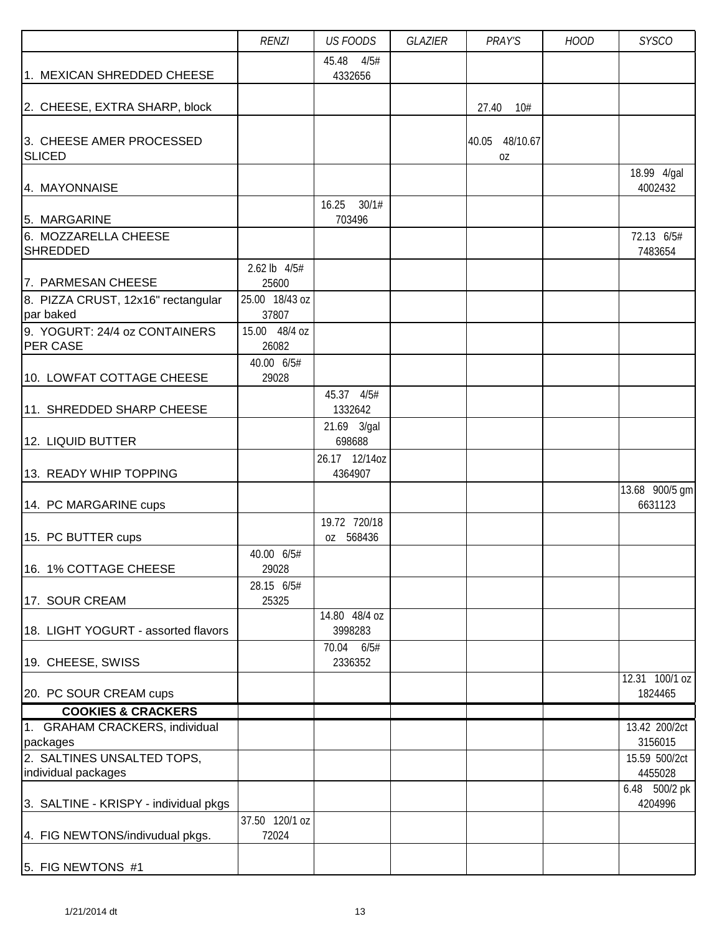|                                        | <b>RENZI</b>   | <b>US FOODS</b>       | GLAZIER | PRAY'S         | <b>HOOD</b> | <b>SYSCO</b>             |
|----------------------------------------|----------------|-----------------------|---------|----------------|-------------|--------------------------|
|                                        |                | 45.48<br>4/5#         |         |                |             |                          |
| 1. MEXICAN SHREDDED CHEESE             |                | 4332656               |         |                |             |                          |
|                                        |                |                       |         |                |             |                          |
| 2. CHEESE, EXTRA SHARP, block          |                |                       |         | 27.40<br>10#   |             |                          |
|                                        |                |                       |         |                |             |                          |
| 3. CHEESE AMER PROCESSED               |                |                       |         | 40.05 48/10.67 |             |                          |
| <b>SLICED</b>                          |                |                       |         | 0Z             |             |                          |
|                                        |                |                       |         |                |             | 18.99 4/gal              |
| 4. MAYONNAISE                          |                |                       |         |                |             | 4002432                  |
|                                        |                | 30/1#<br>16.25        |         |                |             |                          |
| 5. MARGARINE                           |                | 703496                |         |                |             |                          |
| 6. MOZZARELLA CHEESE<br>SHREDDED       |                |                       |         |                |             | 72.13 6/5#<br>7483654    |
|                                        | 2.62 lb 4/5#   |                       |         |                |             |                          |
| 7. PARMESAN CHEESE                     | 25600          |                       |         |                |             |                          |
| 8. PIZZA CRUST, 12x16" rectangular     | 25.00 18/43 oz |                       |         |                |             |                          |
| par baked                              | 37807          |                       |         |                |             |                          |
| 9. YOGURT: 24/4 oz CONTAINERS          | 15.00 48/4 oz  |                       |         |                |             |                          |
| <b>PER CASE</b>                        | 26082          |                       |         |                |             |                          |
|                                        | 40.00 6/5#     |                       |         |                |             |                          |
| 10. LOWFAT COTTAGE CHEESE              | 29028          |                       |         |                |             |                          |
|                                        |                | 45.37 4/5#            |         |                |             |                          |
| 11. SHREDDED SHARP CHEESE              |                | 1332642               |         |                |             |                          |
| 12. LIQUID BUTTER                      |                | 21.69 3/gal<br>698688 |         |                |             |                          |
|                                        |                | 26.17 12/14oz         |         |                |             |                          |
| 13. READY WHIP TOPPING                 |                | 4364907               |         |                |             |                          |
|                                        |                |                       |         |                |             | 13.68 900/5 gm           |
| 14. PC MARGARINE cups                  |                |                       |         |                |             | 6631123                  |
|                                        |                | 19.72 720/18          |         |                |             |                          |
| 15. PC BUTTER cups                     |                | oz 568436             |         |                |             |                          |
|                                        | 40.00 6/5#     |                       |         |                |             |                          |
| 16. 1% COTTAGE CHEESE                  | 29028          |                       |         |                |             |                          |
|                                        | 28.15 6/5#     |                       |         |                |             |                          |
| 17. SOUR CREAM                         | 25325          | 14.80 48/4 oz         |         |                |             |                          |
| 18. LIGHT YOGURT - assorted flavors    |                | 3998283               |         |                |             |                          |
|                                        |                | 70.04 6/5#            |         |                |             |                          |
| 19. CHEESE, SWISS                      |                | 2336352               |         |                |             |                          |
|                                        |                |                       |         |                |             | 12.31 100/1 oz           |
| 20. PC SOUR CREAM cups                 |                |                       |         |                |             | 1824465                  |
| <b>COOKIES &amp; CRACKERS</b>          |                |                       |         |                |             |                          |
| 1. GRAHAM CRACKERS, individual         |                |                       |         |                |             | 13.42 200/2ct            |
| packages<br>2. SALTINES UNSALTED TOPS, |                |                       |         |                |             | 3156015<br>15.59 500/2ct |
| individual packages                    |                |                       |         |                |             | 4455028                  |
|                                        |                |                       |         |                |             | 6.48 500/2 pk            |
| 3. SALTINE - KRISPY - individual pkgs  |                |                       |         |                |             | 4204996                  |
|                                        | 37.50 120/1 oz |                       |         |                |             |                          |
| 4. FIG NEWTONS/indivudual pkgs.        | 72024          |                       |         |                |             |                          |
| 5. FIG NEWTONS #1                      |                |                       |         |                |             |                          |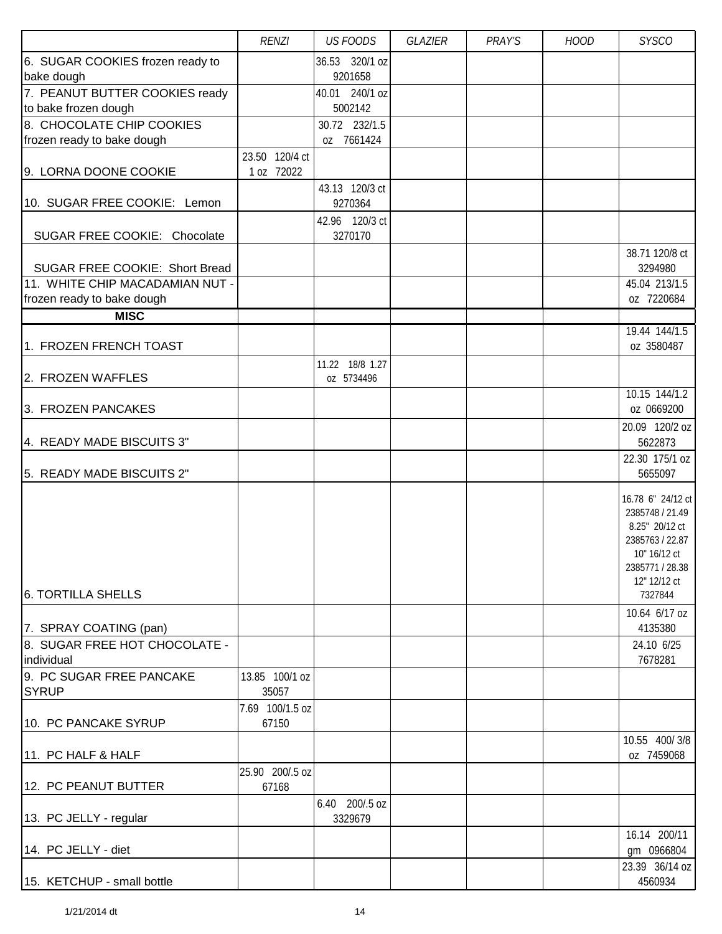|                                  | <b>RENZI</b>             | <b>US FOODS</b>               | GLAZIER | PRAY'S | <b>HOOD</b> | <b>SYSCO</b>                    |
|----------------------------------|--------------------------|-------------------------------|---------|--------|-------------|---------------------------------|
| 6. SUGAR COOKIES frozen ready to |                          | 36.53 320/1 oz                |         |        |             |                                 |
| bake dough                       |                          | 9201658                       |         |        |             |                                 |
| 7. PEANUT BUTTER COOKIES ready   |                          | 40.01 240/1 oz                |         |        |             |                                 |
| to bake frozen dough             |                          | 5002142                       |         |        |             |                                 |
| 8. CHOCOLATE CHIP COOKIES        |                          | 30.72 232/1.5<br>oz 7661424   |         |        |             |                                 |
| frozen ready to bake dough       | 23.50 120/4 ct           |                               |         |        |             |                                 |
| 9. LORNA DOONE COOKIE            | 1 oz 72022               |                               |         |        |             |                                 |
|                                  |                          | 43.13 120/3 ct                |         |        |             |                                 |
| 10. SUGAR FREE COOKIE: Lemon     |                          | 9270364                       |         |        |             |                                 |
|                                  |                          | 42.96 120/3 ct                |         |        |             |                                 |
| SUGAR FREE COOKIE: Chocolate     |                          | 3270170                       |         |        |             |                                 |
|                                  |                          |                               |         |        |             | 38.71 120/8 ct                  |
| SUGAR FREE COOKIE: Short Bread   |                          |                               |         |        |             | 3294980                         |
| 11. WHITE CHIP MACADAMIAN NUT -  |                          |                               |         |        |             | 45.04 213/1.5                   |
| frozen ready to bake dough       |                          |                               |         |        |             | oz 7220684                      |
| <b>MISC</b>                      |                          |                               |         |        |             |                                 |
| 1. FROZEN FRENCH TOAST           |                          |                               |         |        |             | 19.44 144/1.5                   |
|                                  |                          |                               |         |        |             | oz 3580487                      |
| 2. FROZEN WAFFLES                |                          | 11.22 18/8 1.27<br>oz 5734496 |         |        |             |                                 |
|                                  |                          |                               |         |        |             | 10.15 144/1.2                   |
| 3. FROZEN PANCAKES               |                          |                               |         |        |             | oz 0669200                      |
|                                  |                          |                               |         |        |             | 20.09 120/2 oz                  |
| 4. READY MADE BISCUITS 3"        |                          |                               |         |        |             | 5622873                         |
|                                  |                          |                               |         |        |             | 22.30 175/1 oz                  |
| 5. READY MADE BISCUITS 2"        |                          |                               |         |        |             | 5655097                         |
|                                  |                          |                               |         |        |             | 16.78 6" 24/12 ct               |
|                                  |                          |                               |         |        |             | 2385748 / 21.49                 |
|                                  |                          |                               |         |        |             | 8.25" 20/12 ct                  |
|                                  |                          |                               |         |        |             | 2385763 / 22.87                 |
|                                  |                          |                               |         |        |             | 10" 16/12 ct<br>2385771 / 28.38 |
|                                  |                          |                               |         |        |             | 12" 12/12 ct                    |
| <b>6. TORTILLA SHELLS</b>        |                          |                               |         |        |             | 7327844                         |
|                                  |                          |                               |         |        |             | 10.64 6/17 oz                   |
| 7. SPRAY COATING (pan)           |                          |                               |         |        |             | 4135380                         |
| 8. SUGAR FREE HOT CHOCOLATE -    |                          |                               |         |        |             | 24.10 6/25                      |
| individual                       |                          |                               |         |        |             | 7678281                         |
| 9. PC SUGAR FREE PANCAKE         | 13.85 100/1 oz           |                               |         |        |             |                                 |
| <b>SYRUP</b>                     | 35057                    |                               |         |        |             |                                 |
| 10. PC PANCAKE SYRUP             | 7.69 100/1.5 oz<br>67150 |                               |         |        |             |                                 |
|                                  |                          |                               |         |        |             | 10.55 400/3/8                   |
| 11. PC HALF & HALF               |                          |                               |         |        |             | oz 7459068                      |
|                                  | 25.90 200/.5 oz          |                               |         |        |             |                                 |
| 12. PC PEANUT BUTTER             | 67168                    |                               |         |        |             |                                 |
|                                  |                          | 6.40 200/.5 oz                |         |        |             |                                 |
| 13. PC JELLY - regular           |                          | 3329679                       |         |        |             |                                 |
|                                  |                          |                               |         |        |             | 16.14 200/11                    |
| 14. PC JELLY - diet              |                          |                               |         |        |             | gm 0966804                      |
|                                  |                          |                               |         |        |             | 23.39 36/14 oz                  |
| 15. KETCHUP - small bottle       |                          |                               |         |        |             | 4560934                         |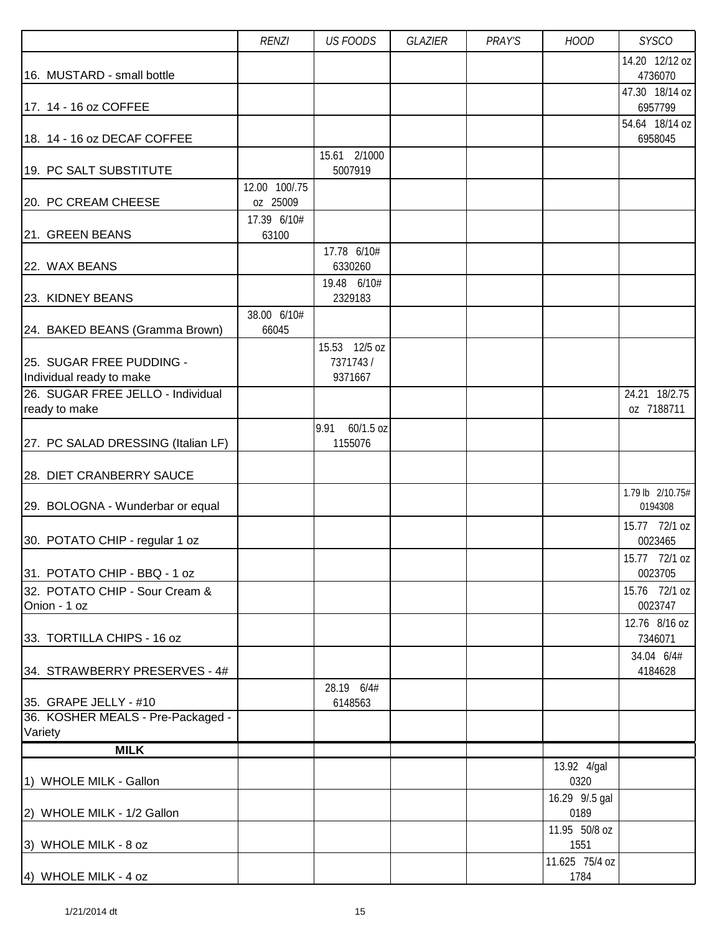|                                                      | <b>RENZI</b>              | <b>US FOODS</b>                      | GLAZIER | PRAY'S | <b>HOOD</b>            | <b>SYSCO</b>                |
|------------------------------------------------------|---------------------------|--------------------------------------|---------|--------|------------------------|-----------------------------|
| 16. MUSTARD - small bottle                           |                           |                                      |         |        |                        | 14.20 12/12 oz<br>4736070   |
| 17. 14 - 16 oz COFFEE                                |                           |                                      |         |        |                        | 47.30 18/14 oz<br>6957799   |
| 18. 14 - 16 oz DECAF COFFEE                          |                           |                                      |         |        |                        | 54.64 18/14 oz<br>6958045   |
| 19. PC SALT SUBSTITUTE                               |                           | 15.61 2/1000<br>5007919              |         |        |                        |                             |
| 20. PC CREAM CHEESE                                  | 12.00 100/.75<br>oz 25009 |                                      |         |        |                        |                             |
| 21. GREEN BEANS                                      | 17.39 6/10#<br>63100      |                                      |         |        |                        |                             |
| 22. WAX BEANS                                        |                           | 17.78 6/10#<br>6330260               |         |        |                        |                             |
| 23. KIDNEY BEANS                                     |                           | 19.48 6/10#<br>2329183               |         |        |                        |                             |
| 24. BAKED BEANS (Gramma Brown)                       | 38.00 6/10#<br>66045      |                                      |         |        |                        |                             |
| 25. SUGAR FREE PUDDING -<br>Individual ready to make |                           | 15.53 12/5 oz<br>7371743/<br>9371667 |         |        |                        |                             |
| 26. SUGAR FREE JELLO - Individual<br>ready to make   |                           |                                      |         |        |                        | 24.21 18/2.75<br>oz 7188711 |
| 27. PC SALAD DRESSING (Italian LF)                   |                           | 60/1.5 oz<br>9.91<br>1155076         |         |        |                        |                             |
| 28. DIET CRANBERRY SAUCE                             |                           |                                      |         |        |                        |                             |
| 29. BOLOGNA - Wunderbar or equal                     |                           |                                      |         |        |                        | 1.79 lb 2/10.75#<br>0194308 |
| 30. POTATO CHIP - regular 1 oz                       |                           |                                      |         |        |                        | 15.77 72/1 oz<br>0023465    |
| 31. POTATO CHIP - BBQ - 1 oz                         |                           |                                      |         |        |                        | 15.77 72/1 oz<br>0023705    |
| 32. POTATO CHIP - Sour Cream &<br>Onion - 1 oz       |                           |                                      |         |        |                        | 15.76 72/1 oz<br>0023747    |
| 33. TORTILLA CHIPS - 16 oz                           |                           |                                      |         |        |                        | 12.76 8/16 oz<br>7346071    |
| 34. STRAWBERRY PRESERVES - 4#                        |                           |                                      |         |        |                        | 34.04 6/4#<br>4184628       |
| 35. GRAPE JELLY - #10                                |                           | 28.19 6/4#<br>6148563                |         |        |                        |                             |
| 36. KOSHER MEALS - Pre-Packaged -<br>Variety         |                           |                                      |         |        |                        |                             |
| <b>MILK</b>                                          |                           |                                      |         |        |                        |                             |
| 1) WHOLE MILK - Gallon                               |                           |                                      |         |        | 13.92 4/gal<br>0320    |                             |
| 2) WHOLE MILK - 1/2 Gallon                           |                           |                                      |         |        | 16.29 9/.5 gal<br>0189 |                             |
| 3) WHOLE MILK - 8 oz                                 |                           |                                      |         |        | 11.95 50/8 oz<br>1551  |                             |
| 4) WHOLE MILK - 4 oz                                 |                           |                                      |         |        | 11.625 75/4 oz<br>1784 |                             |